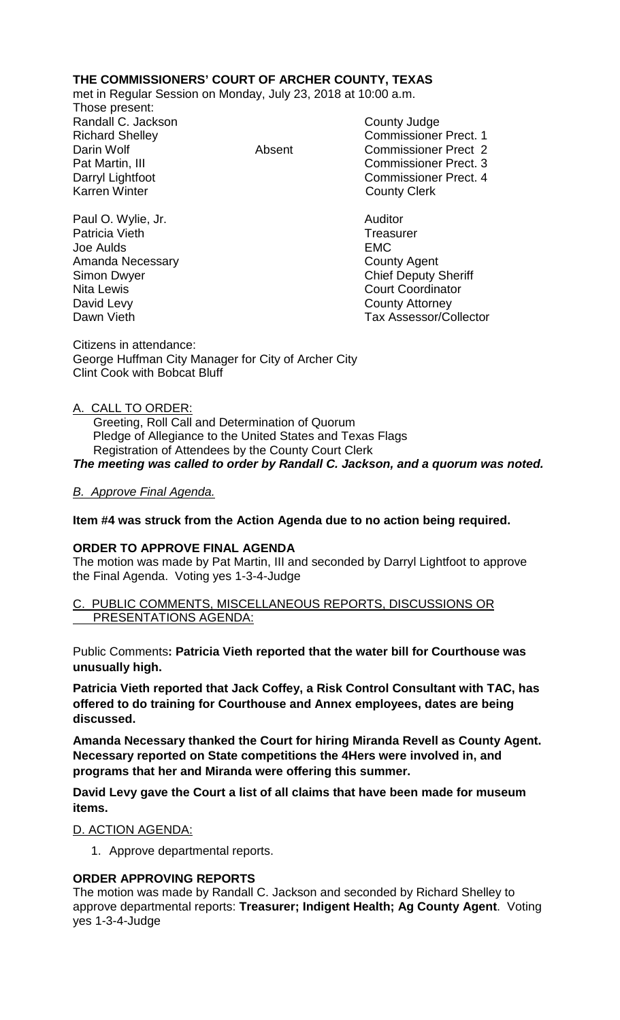### **THE COMMISSIONERS' COURT OF ARCHER COUNTY, TEXAS**

met in Regular Session on Monday, July 23, 2018 at 10:00 a.m.

Those present: Randall C. Jackson County Judge

Patricia Vieth

Richard Shelley **Commissioner Prect. 1** Darin Wolf **Absent** Commissioner Prect 2 Pat Martin, III Commissioner Prect. 3 Darryl Lightfoot **Commissioner Prect. 4**<br>
Karren Winter **County County Clerk County Clerk** 

Paul O. Wylie, Jr. Auditor Joe Aulds EMC Amanda Necessary **County Agent** County Agent Simon Dwyer Chief Deputy Sheriff Nita Lewis **Court Coordinator** Court Coordinator David Levy **County Attorney** Dawn Vieth Tax Assessor/Collector

Citizens in attendance: George Huffman City Manager for City of Archer City Clint Cook with Bobcat Bluff

#### A. CALL TO ORDER:

 Greeting, Roll Call and Determination of Quorum Pledge of Allegiance to the United States and Texas Flags Registration of Attendees by the County Court Clerk

### *The meeting was called to order by Randall C. Jackson, and a quorum was noted.*

### *B. Approve Final Agenda.*

### **Item #4 was struck from the Action Agenda due to no action being required.**

#### **ORDER TO APPROVE FINAL AGENDA**

The motion was made by Pat Martin, III and seconded by Darryl Lightfoot to approve the Final Agenda. Voting yes 1-3-4-Judge

#### C. PUBLIC COMMENTS, MISCELLANEOUS REPORTS, DISCUSSIONS OR PRESENTATIONS AGENDA:

Public Comments**: Patricia Vieth reported that the water bill for Courthouse was unusually high.** 

**Patricia Vieth reported that Jack Coffey, a Risk Control Consultant with TAC, has offered to do training for Courthouse and Annex employees, dates are being discussed.**

**Amanda Necessary thanked the Court for hiring Miranda Revell as County Agent. Necessary reported on State competitions the 4Hers were involved in, and programs that her and Miranda were offering this summer.** 

**David Levy gave the Court a list of all claims that have been made for museum items.** 

D. ACTION AGENDA:

1. Approve departmental reports.

### **ORDER APPROVING REPORTS**

The motion was made by Randall C. Jackson and seconded by Richard Shelley to approve departmental reports: **Treasurer; Indigent Health; Ag County Agent**. Voting yes 1-3-4-Judge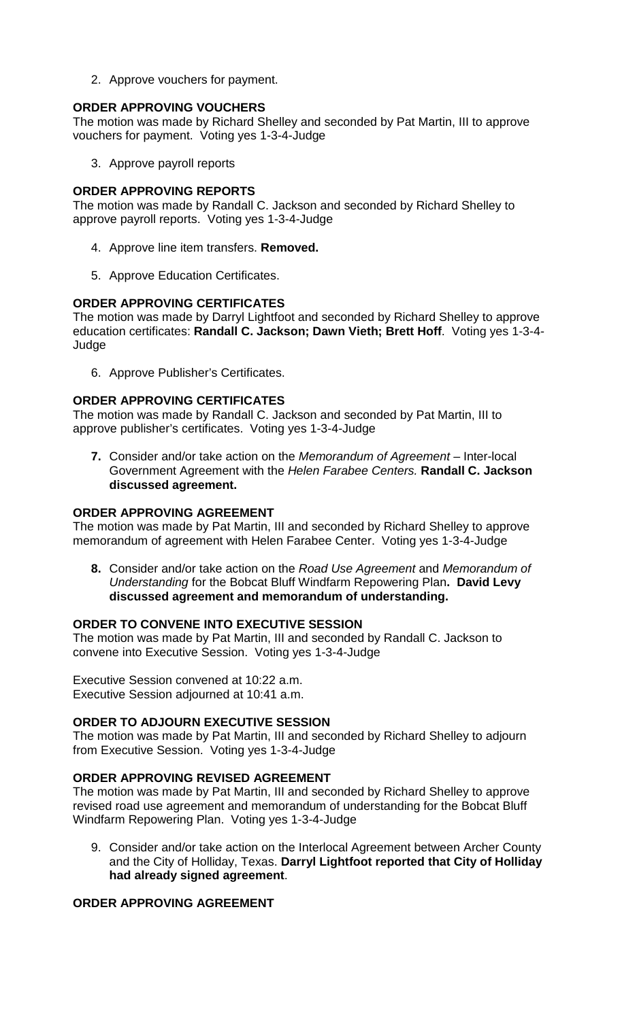2. Approve vouchers for payment.

## **ORDER APPROVING VOUCHERS**

The motion was made by Richard Shelley and seconded by Pat Martin, III to approve vouchers for payment. Voting yes 1-3-4-Judge

3. Approve payroll reports

### **ORDER APPROVING REPORTS**

The motion was made by Randall C. Jackson and seconded by Richard Shelley to approve payroll reports. Voting yes 1-3-4-Judge

- 4. Approve line item transfers. **Removed.**
- 5. Approve Education Certificates.

### **ORDER APPROVING CERTIFICATES**

The motion was made by Darryl Lightfoot and seconded by Richard Shelley to approve education certificates: **Randall C. Jackson; Dawn Vieth; Brett Hoff**. Voting yes 1-3-4- Judge

6. Approve Publisher's Certificates.

# **ORDER APPROVING CERTIFICATES**

The motion was made by Randall C. Jackson and seconded by Pat Martin, III to approve publisher's certificates. Voting yes 1-3-4-Judge

**7.** Consider and/or take action on the *Memorandum of Agreement –* Inter-local Government Agreement with the *Helen Farabee Centers.* **Randall C. Jackson discussed agreement.**

## **ORDER APPROVING AGREEMENT**

The motion was made by Pat Martin, III and seconded by Richard Shelley to approve memorandum of agreement with Helen Farabee Center. Voting yes 1-3-4-Judge

**8.** Consider and/or take action on the *Road Use Agreement* and *Memorandum of Understanding* for the Bobcat Bluff Windfarm Repowering Plan**. David Levy discussed agreement and memorandum of understanding.** 

# **ORDER TO CONVENE INTO EXECUTIVE SESSION**

The motion was made by Pat Martin, III and seconded by Randall C. Jackson to convene into Executive Session. Voting yes 1-3-4-Judge

Executive Session convened at 10:22 a.m. Executive Session adjourned at 10:41 a.m.

# **ORDER TO ADJOURN EXECUTIVE SESSION**

The motion was made by Pat Martin, III and seconded by Richard Shelley to adjourn from Executive Session. Voting yes 1-3-4-Judge

# **ORDER APPROVING REVISED AGREEMENT**

The motion was made by Pat Martin, III and seconded by Richard Shelley to approve revised road use agreement and memorandum of understanding for the Bobcat Bluff Windfarm Repowering Plan. Voting yes 1-3-4-Judge

9. Consider and/or take action on the Interlocal Agreement between Archer County and the City of Holliday, Texas. **Darryl Lightfoot reported that City of Holliday had already signed agreement**.

# **ORDER APPROVING AGREEMENT**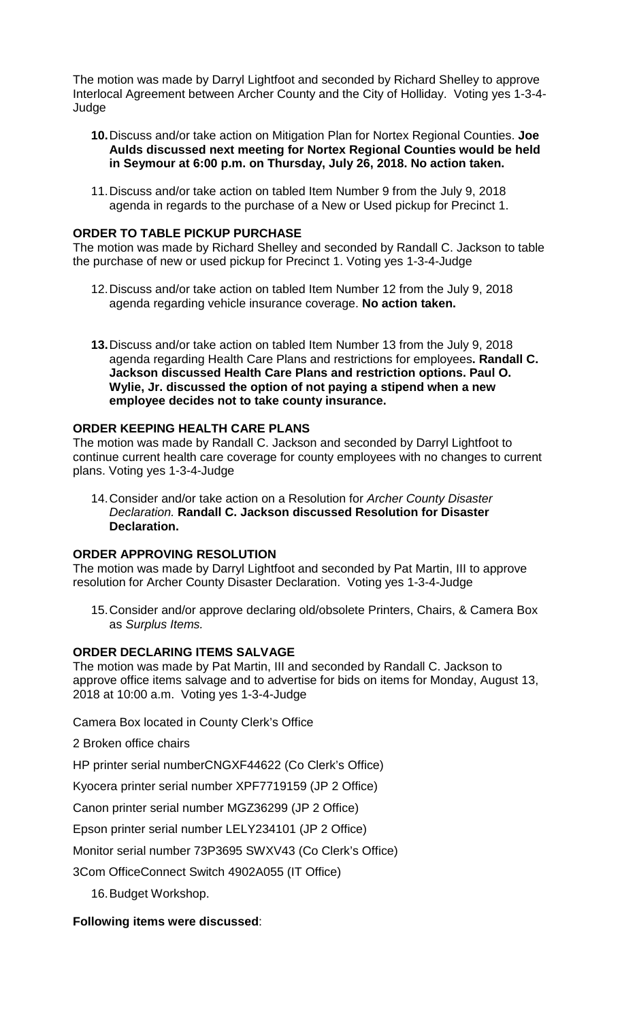The motion was made by Darryl Lightfoot and seconded by Richard Shelley to approve Interlocal Agreement between Archer County and the City of Holliday. Voting yes 1-3-4- Judge

- **10.**Discuss and/or take action on Mitigation Plan for Nortex Regional Counties. **Joe Aulds discussed next meeting for Nortex Regional Counties would be held in Seymour at 6:00 p.m. on Thursday, July 26, 2018. No action taken.**
- 11.Discuss and/or take action on tabled Item Number 9 from the July 9, 2018 agenda in regards to the purchase of a New or Used pickup for Precinct 1.

#### **ORDER TO TABLE PICKUP PURCHASE**

The motion was made by Richard Shelley and seconded by Randall C. Jackson to table the purchase of new or used pickup for Precinct 1. Voting yes 1-3-4-Judge

- 12.Discuss and/or take action on tabled Item Number 12 from the July 9, 2018 agenda regarding vehicle insurance coverage. **No action taken.**
- **13.**Discuss and/or take action on tabled Item Number 13 from the July 9, 2018 agenda regarding Health Care Plans and restrictions for employees**. Randall C. Jackson discussed Health Care Plans and restriction options. Paul O. Wylie, Jr. discussed the option of not paying a stipend when a new employee decides not to take county insurance.**

#### **ORDER KEEPING HEALTH CARE PLANS**

The motion was made by Randall C. Jackson and seconded by Darryl Lightfoot to continue current health care coverage for county employees with no changes to current plans. Voting yes 1-3-4-Judge

14.Consider and/or take action on a Resolution for *Archer County Disaster Declaration.* **Randall C. Jackson discussed Resolution for Disaster Declaration.**

#### **ORDER APPROVING RESOLUTION**

The motion was made by Darryl Lightfoot and seconded by Pat Martin, III to approve resolution for Archer County Disaster Declaration. Voting yes 1-3-4-Judge

15.Consider and/or approve declaring old/obsolete Printers, Chairs, & Camera Box as *Surplus Items.* 

#### **ORDER DECLARING ITEMS SALVAGE**

The motion was made by Pat Martin, III and seconded by Randall C. Jackson to approve office items salvage and to advertise for bids on items for Monday, August 13, 2018 at 10:00 a.m. Voting yes 1-3-4-Judge

Camera Box located in County Clerk's Office

2 Broken office chairs

HP printer serial numberCNGXF44622 (Co Clerk's Office)

Kyocera printer serial number XPF7719159 (JP 2 Office)

Canon printer serial number MGZ36299 (JP 2 Office)

Epson printer serial number LELY234101 (JP 2 Office)

Monitor serial number 73P3695 SWXV43 (Co Clerk's Office)

3Com OfficeConnect Switch 4902A055 (IT Office)

16.Budget Workshop.

#### **Following items were discussed**: